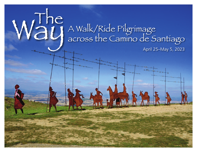# Way A Walk/Ride Pilgrimage across the Camino de Santiago

April 25–May 5, 2023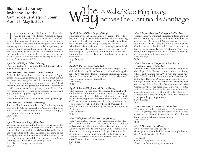### Illuminated Journeys invites you to the Camino de Santiago in Spain April 25–May 5, 2023

This adventure is especially designed for those who want to experience the historic Camino de Santi-<br>ago and learn about the spiritual practice of pil-<br>grimage but don't have the time or the physical training to want to experience the historic Camino de Santiago and learn about the spiritual practice of pilgrimage but don't have the time or the physical training to walk "TheWay" in its entirety.Exploring some of the most interesting places and most evocative landscapes along the Camino,we will walk and ride our way to the great cathedral city of Santiago.As we go,we'll discover the beauty of the Spanish countryside in the region of Navarra, the riches of Spanish food and wine in the region of Rioja, and the Celtic culture of Galicia

### *April 24, 2023: Fly to Bilbao (Monday)*

(Participants should arrive at the Bilbao International airport by 2 pm,April 25, 2023)

### *April 25:Arrival Day Bilbao – Olite (Tuesday)*

Arrive in Bilbao in time to leave the airport by 2 pm, gather our luggage, go through customs and meet our bus and driver.After we gather, we'll drive through the beauty of the Basque countryside on our way to Olite. A brief stop at the unique octagonal pilgrim church of Eunate will provide time to cross the pilgrimage threshold into "the way" that awaits us.Traveling on to our hotel in Olite,we'll enjoy a brief group gathering before dinner.

Stay: (Olite, Navarra)

D (indicates which meals are included in the pilgrimage)

### *April 26: Olite – Navarra (Wednesday)*

Today we'll make our first walk on the Camino beginning high atop theAlto de Perdón above Pamplona followed by lunch.Traveling back to our hotel in Olite, we'll enjoy a brief group gathering before dinner. Stay: (Olite)

 $B; \dot{L}; \dot{D}$ 

### *April 27: Navarra – Rioja (Thursday)*

We begin the morning at the Puente la Reina, the bridge where pilgrim routes converge and become "the way Frances."Today we walk from Mañeru followed by lunch and wine tasting at the Bodegas Irache, the home of the famed pilgrim wine fountain.After lunch we enjoy a short drive through the beautiful Rioja region to the Santo Domingo de la Calzada for an overnight stay. Stay: (Santo Domingo de la Calzada) B; L; D

### *April 28: San Millán – Burgos (Friday)*

Following a visit in Santo Domingo, we drive to Belorado to buy lunch supplies.We will then be dropped off at a starting point to walk a fabled section of the Camino between Belorado and San Juan de Ortega crossing the Montes de Oca with forest trails and chestnut trees, enjoying a picnic lunch along the way. Following our walk, we visit San Juan de Ortega ending our day in the city of Burgos.You'll be free to explore the lovely central plaza and enjoy Tapas or dinner on your own.

Way across the Camino de S

Stay: (Burgos)

### B

### *April 29: Burgos – Leon (Saturday)*

Today we meet a private guide for a tour of the Burgos Cathedral and the old city. On to Fromista to pick up lunch supplies for today's walk from Moratinos enjoying a picnic lunch along the way. Later, we make the short drive to Leon where we'll enjoy a unique monastery turned hotel.

Stay: (Leon)

 $B:D$ 

### *April 30: Leon –Villafranca del Bierzo (Sunday)*

This morning we will enjoy the chance to marvel at the Gothic beauty of the Leon Cathedral with its stained glass windows. We drive to Rabanal del Camino for lunch followed by a pilgrimage walk from Foncebadon to La Cruz de Ferro,an iconic cross-topped cairn of stone.After leaving our stones, we walk past the village of Manjarin before boarding our bus to cross the Pilgrims Bridge on our way to Ponferrada.

Stay: (Villafranca)

 $B: D$ 

#### *May 1:Villafranca del Bierzo – Lugo (Monday)*

Today's exploration takes us to the picturesque Celtic village of O Cebreiro with its thatched cottages.After a short drive toTriacastela, we'll begin our walk to Samos eating a picnic lunch along the way.Today's pilgrim walk concludes with time to relax in the picturesque village of Samos. A short drive takes us to our hotel inside the walled city of Lugo. Tonight you are free to explore the ancient central plaza and enjoyTapas or dinner on your own. Stay: (Lugo)

B

### *May 2: Lugo – Santiago de Compostela (Tuesday)*

across the Camino de Santiago

This morning we will meet a private guide for a tour of the fascinating city of Lugo with time to explore the city walls,an 1800 year old Roman wonder designated as a UNESCO site. Today we walk a section of the Camino between Melide and Arzúa where our bus transfers us to Lavocolla with its "Mount of Joy." From there, with the spires of the great cathedral of Santiago as our guide, we will walk into the city. Stay: (Santiago)

 $B:D$ 

### *May 3: Santiago de Compostela – Rias Baixas – Galician Coast (Wednesday)*

Leave for a day along the Galician coast traveling down the Upper Rias Baixas coastline dotted by fishing villages and stunning vistas.We'll visit the Celtic hillfort of Baroña and the ancient dolmen of Axeitos. On to the Rias Baixas of O Salnes wine region to enjoy a boutique winery. We will have lunch in the winery after our tasting of their fine albariño wine then we'll visit Cambados village, the heart of Albariño wine country and stroll around the Plaza de Fefiñanes where we'll enjoy the quaint streets of this noble village. Return to Santiago for a free evening to enjoy the center of Santiago and tapas on your own. Stay: (Santiago)

 $B;L$ 

### *May 4: Santiago de Compostela (Thursday)*

Following a guided exploration of Santiago's city center, pilgrimage sites and the cathedral, you are free to wander this historic city on your own.We will meet for an evening gathering before dinner. Stay: (Santiago)

 $B: D$ 

### *May 5: Departure Day (Friday)*

Fly home from the Santiago airport. (Participants should schedule a departure flight leaving after 9 am, Friday, May 5, 2023)

### *Questions?*

Call Brad Berglund: 720.489.8073 Email: brad@illuminatedjourneys.com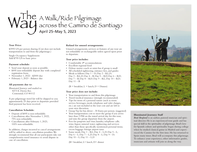### Way A Walk/Ride Pilgrimage across the Camino de Santiago April 25–May 5, 2023

### **Tour Price:**

\$3995 US per person sharing (Cost does not include transportation to and from the pilgrimage.)

Single Occupancy Supplement: Add \$795 US to basic price

### **Payment schedule:**

- Send your deposit as soon as possible.
- \$495 non-refundable deposit due with completed registration form.
- November 1, 2022 \$2000 due
- February 1, 2023 Balance due

### **All payments due to:**

*Illuminated Journeys* and mailed to: 8273 E. Davies Ave. Centennial, CO 80112

A pre-pilgrimage travel kit will be shipped to you approximately 25 days prior to departure provided final payment has been received.

### **Cancellation Schedule:**

- Deposit of \$495 is non-refundable.
- Cancellations after November 1, 2022, 75% non-refundable.
- Cancellations after February 1, 2023, 100% non-refundable.

In addition, charges incurred to cancel arrangements will be added to above cancellation penalties.We strongly recommend that all our participants take out comprehensive travel insurance to avoid dispute in case of cancellation.

### **Refund for unused arrangements:**

Unused arrangements, services or features of any tour are not refundable or exchangeable unless agreed upon prior to departure.

### **Tour price includes:**

- Comfortable 4<sup>\*</sup> accommodations
- Excellent regional food
- Deluxe motor coach or mini-bus if group is small
- All scheduled sightseeing, entrance fees, and guides
- Meals as follows: Day  $1 D$ ; Day  $2 B$ , L, D; Day 3 - B,L,D; Day 4 - B; Day 5 – B,D, Day 6 – B,D; Day  $7 - B$ ; Day  $8 - B$ , D; Day  $9 - B$ , L; Day  $10 - B$ , D; Day  $11 - B$

 $(B = \text{breakfast}, L = \text{lunch}, D = \text{Dinner})$ 

### **Tour price does not include:**

- Your transportation to and from this pilgrimage.
- Travel/medical insurance (strongly recommended)
- Tips for items of a personal nature (such as room service, beverages, meals, telephone and valet charges, etc.) are not included in the tour cost and are left to your own discretion.
- Group Tip for bus driver 30 Euros per person. (suggested)
- Your transportation cost to meet the group if you arrive later than 2 PM on the stated arrival day for this tour, and miss the group departure from the airport.
- Fees for passports and visas; laundry; telephone calls; wine, liquor, mineral water; sightseeing and services other than those specifically mentioned; personal items; excess baggage: foreign airport taxes
- Some meals: Day  $1 B,L$ ; Day  $4 L,D$ ; Day  $5 L$ ; Day  $6 - L$ ; Day  $7 - L$ , D; Day  $8 - L$ ; Day  $9 - D$ ; Day  $10 - L$ ; Day  $11 - L$ , D

 $(B=$  breakfast,  $L=$  lunch,  $D=$  dinner



### **Illuminated Journeys Staff**

*Brad Berglund* is an author, pastoral musician and spiritual director. He is an experienced tour guide and has special skill in the spirituality of pilgrimage.Brad's love for Spanish culture and spirituality began during college when he studied classical guitar in Madrid and experienced the Camino for the first time. He has returned to Spain many times. Brad will accompany this pilgrimage. To enhance your experience, other informative guides, musicians and artisans will join us along the way.